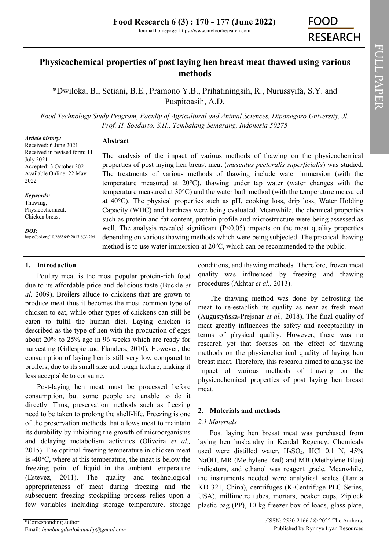# **Physicochemical properties of post laying hen breast meat thawed using various methods**

\*Dwiloka, B., Setiani, B.E., Pramono Y.B., Prihatiningsih, R., Nurussyifa, S.Y. and Puspitoasih, A.D.

*Food Technology Study Program, Faculty of Agricultural and Animal Sciences, Diponegoro University, Jl. Prof. H. Soedarto, S.H., Tembalang Semarang, Indonesia 50275*

#### *Article history:*

**Abstract**

Received: 6 June 2021 Received in revised form: 11 July 2021 Accepted: 3 October 2021 Available Online: 22 May 2022

*Keywords:*

Thawing, Physicochemical, Chicken breast

*DOI:*

https://doi.org/10.26656/fr.2017.6(3).296

## **1. Introduction**

Poultry meat is the most popular protein-rich food due to its affordable price and delicious taste (Buckle *et al.* 2009). Broilers allude to chickens that are grown to produce meat thus it becomes the most common type of chicken to eat, while other types of chickens can still be eaten to fulfil the human diet. Laying chicken is described as the type of hen with the production of eggs about 20% to 25% age in 96 weeks which are ready for harvesting (Gillespie and Flanders, 2010). However, the consumption of laying hen is still very low compared to broilers, due to its small size and tough texture, making it less acceptable to consume.

Post-laying hen meat must be processed before consumption, but some people are unable to do it directly. Thus, preservation methods such as freezing need to be taken to prolong the shelf-life. Freezing is one of the preservation methods that allows meat to maintain its durability by inhibiting the growth of microorganisms and delaying metabolism activities (Oliveira *et al.,* 2015). The optimal freezing temperature in chicken meat is -40°C, where at this temperature, the meat is below the freezing point of liquid in the ambient temperature (Estevez, 2011). The quality and technological appropriateness of meat during freezing and the subsequent freezing stockpiling process relies upon a few variables including storage temperature, storage

The analysis of the impact of various methods of thawing on the physicochemical properties of post laying hen breast meat (*musculus pectoralis superficialis*) was studied. The treatments of various methods of thawing include water immersion (with the temperature measured at 20°C), thawing under tap water (water changes with the temperature measured at 30°C) and the water bath method (with the temperature measured at 40°C). The physical properties such as pH, cooking loss, drip loss, Water Holding Capacity (WHC) and hardness were being evaluated. Meanwhile, the chemical properties such as protein and fat content, protein profile and microstructure were being assessed as well. The analysis revealed significant  $(P<0.05)$  impacts on the meat quality properties depending on various thawing methods which were being subjected. The practical thawing method is to use water immersion at  $20^{\circ}$ C, which can be recommended to the public.

> conditions, and thawing methods. Therefore, frozen meat quality was influenced by freezing and thawing procedures (Akhtar *et al.,* 2013).

> The thawing method was done by defrosting the meat to re-establish its quality as near as fresh meat (Augustyńska-Prejsnar *et al.,* 2018). The final quality of meat greatly influences the safety and acceptability in terms of physical quality. However, there was no research yet that focuses on the effect of thawing methods on the physicochemical quality of laying hen breast meat. Therefore, this research aimed to analyse the impact of various methods of thawing on the physicochemical properties of post laying hen breast meat.

# **2. Materials and methods**

### *2.1 Materials*

Post laying hen breast meat was purchased from laying hen husbandry in Kendal Regency. Chemicals used were distilled water,  $H_2SO_4$ , HCl 0.1 N, 45% NaOH, MR (Methylene Red) and MB (Methylene Blue) indicators, and ethanol was reagent grade. Meanwhile, the instruments needed were analytical scales (Tanita KD 321, China), centrifuges (K-Centrifuge PLC Series, USA), millimetre tubes, mortars, beaker cups, Ziplock plastic bag (PP), 10 kg freezer box of loads, glass plate,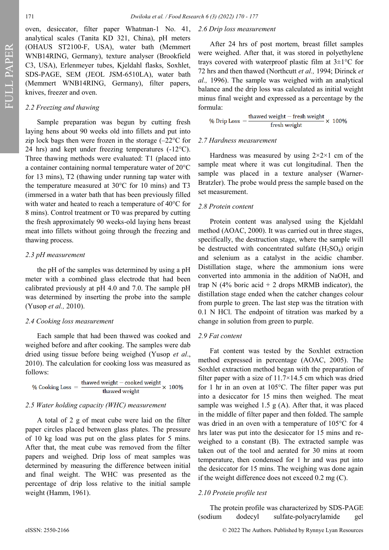FULL PAPER

oven, desiccator, filter paper Whatman-1 No. 41, analytical scales (Tanita KD 321, China), pH meters (OHAUS ST2100-F, USA), water bath (Memmert WNB14RING, Germany), texture analyser (Brookfield C3, USA), Erlenmeyer tubes, Kjeldahl flasks, Soxhlet, SDS-PAGE, SEM (JEOL JSM-6510LA), water bath (Memmert WNB14RING, Germany), filter papers, knives, freezer and oven.

### *2.2 Freezing and thawing*

Sample preparation was begun by cutting fresh laying hens about 90 weeks old into fillets and put into zip lock bags then were frozen in the storage  $(-22^{\circ}C)$  for 24 hrs) and kept under freezing temperatures (-12°C). Three thawing methods were evaluated: T1 (placed into a container containing normal temperature water of 20°C for 13 mins), T2 (thawing under running tap water with the temperature measured at 30°C for 10 mins) and T3 (immersed in a water bath that has been previously filled with water and heated to reach a temperature of 40°C for 8 mins). Control treatment or T0 was prepared by cutting the fresh approximately 90 weeks-old laying hens breast meat into fillets without going through the freezing and thawing process.

#### *2.3 pH measurement*

the pH of the samples was determined by using a pH meter with a combined glass electrode that had been calibrated previously at pH 4.0 and 7.0. The sample pH was determined by inserting the probe into the sample (Yusop *et al.,* 2010).

#### *2.4 Cooking loss measurement*

Each sample that had been thawed was cooked and weighed before and after cooking. The samples were dab dried using tissue before being weighed (Yusop *et al*., 2010). The calculation for cooking loss was measured as follows:

$$
\% \text{ Cooking Loss} = \frac{\text{thawed weight} - \text{cooked weight}}{\text{thawed weight}} \times 100\%
$$

#### *2.5 Water holding capacity (WHC) measurement*

A total of 2 g of meat cube were laid on the filter paper circles placed between glass plates. The pressure of 10 kg load was put on the glass plates for 5 mins. After that, the meat cube was removed from the filter papers and weighed. Drip loss of meat samples was determined by measuring the difference between initial and final weight. The WHC was presented as the percentage of drip loss relative to the initial sample weight (Hamm, 1961).

### *2.6 Drip loss measurement*

After 24 hrs of post mortem, breast fillet samples were weighed. After that, it was stored in polyethylene trays covered with waterproof plastic film at  $3\pm1$ °C for 72 hrs and then thawed (Northcutt *et al.,* 1994; Dirinck *et al.,* 1996). The sample was weighed with an analytical balance and the drip loss was calculated as initial weight minus final weight and expressed as a percentage by the

formula:<br>% Drip Loss =  $\frac{\text{thawed weight} - \text{ fresh weight}}{6} \times 100\%$ fresh weight

#### *2.7 Hardness measurement*

Hardness was measured by using  $2 \times 2 \times 1$  cm of the sample meat where it was cut longitudinal. Then the sample was placed in a texture analyser (Warner-Bratzler). The probe would press the sample based on the set measurement.

#### *2.8 Protein content*

Protein content was analysed using the Kjeldahl method (AOAC, 2000). It was carried out in three stages, specifically, the destruction stage, where the sample will be destructed with concentrated sulfate  $(H_2SO_4)$  origin and selenium as a catalyst in the acidic chamber. Distillation stage, where the ammonium ions were converted into ammonia in the addition of NaOH, and trap N (4% boric acid  $+$  2 drops MRMB indicator), the distillation stage ended when the catcher changes colour from purple to green. The last step was the titration with 0.1 N HCl. The endpoint of titration was marked by a change in solution from green to purple.

#### *2.9 Fat content*

Fat content was tested by the Soxhlet extraction method expressed in percentage (AOAC, 2005). The Soxhlet extraction method began with the preparation of filter paper with a size of 11.7×14.5 cm which was dried for 1 hr in an oven at 105°C. The filter paper was put into a desiccator for 15 mins then weighed. The meat sample was weighed 1.5  $g(A)$ . After that, it was placed in the middle of filter paper and then folded. The sample was dried in an oven with a temperature of 105°C for 4 hrs later was put into the desiccator for 15 mins and reweighed to a constant (B). The extracted sample was taken out of the tool and aerated for 30 mins at room temperature, then condensed for 1 hr and was put into the desiccator for 15 mins. The weighing was done again if the weight difference does not exceed 0.2 mg (C).

#### *2.10 Protein profile test*

The protein profile was characterized by SDS-PAGE (sodium dodecyl sulfate-polyacrylamide gel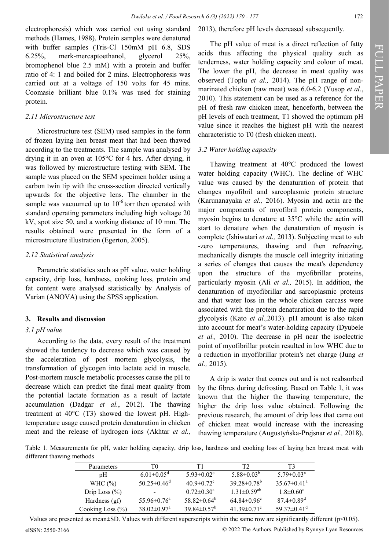electrophoresis) which was carried out using standard methods (Hames, 1988). Protein samples were denatured with buffer samples (Tris-Cl 150mM pH 6.8, SDS 6.25%, merk-mercaptoethanol, glycerol 25%, bromophenol blue 2.5 mM) with a protein and buffer ratio of 4: 1 and boiled for 2 mins. Electrophoresis was carried out at a voltage of 150 volts for 45 mins. Coomasie brilliant blue 0.1% was used for staining protein.

#### *2.11 Microstructure test*

Microstructure test (SEM) used samples in the form of frozen laying hen breast meat that had been thawed according to the treatments. The sample was analysed by drying it in an oven at 105°C for 4 hrs. After drying, it was followed by microstructure testing with SEM. The sample was placed on the SEM specimen holder using a carbon twin tip with the cross-section directed vertically upwards for the objective lens. The chamber in the sample was vacuumed up to  $10^{-6}$  torr then operated with standard operating parameters including high voltage 20 kV, spot size 50, and a working distance of 10 mm. The results obtained were presented in the form of a microstructure illustration (Egerton, 2005).

### *2.12 Statistical analysis*

Parametric statistics such as pH value, water holding capacity, drip loss, hardness, cooking loss, protein and fat content were analysed statistically by Analysis of Varian (ANOVA) using the SPSS application.

### **3. Results and discussion**

### *3.1 pH value*

According to the data, every result of the treatment showed the tendency to decrease which was caused by the acceleration of post mortem glycolysis, the transformation of glycogen into lactate acid in muscle. Post-mortem muscle metabolic processes cause the pH to decrease which can predict the final meat quality from the potential lactate formation as a result of lactate accumulation (Dadgar *et al.*, 2012). The thawing treatment at 40°C (T3) showed the lowest pH. Hightemperature usage caused protein denaturation in chicken meat and the release of hydrogen ions (Akhtar *et al.,*

### 2013), therefore pH levels decreased subsequently.

The pH value of meat is a direct reflection of fatty acids thus affecting the physical quality such as tenderness, water holding capacity and colour of meat. The lower the pH, the decrease in meat quality was observed (Toplu *et al.,* 2014). The pH range of nonmarinated chicken (raw meat) was 6.0-6.2 (Yusop *et al*., 2010). This statement can be used as a reference for the pH of fresh raw chicken meat, henceforth, between the pH levels of each treatment, T1 showed the optimum pH value since it reaches the highest pH with the nearest characteristic to T0 (fresh chicken meat).

### *3.2 Water holding capacity*

Thawing treatment at 40°C produced the lowest water holding capacity (WHC). The decline of WHC value was caused by the denaturation of protein that changes myofibril and sarcoplasmic protein structure (Karunanayaka *et al.,* 2016). Myosin and actin are the major components of myofibril protein components, myosin begins to denature at 35°C while the actin will start to denature when the denaturation of myosin is complete (Ishiwatari *et al.,* 2013). Subjecting meat to sub -zero temperatures, thawing and then refreezing, mechanically disrupts the muscle cell integrity initiating a series of changes that causes the meat's dependency upon the structure of the myofibrillar proteins, particularly myosin (Ali *et al.,* 2015). In addition, the denaturation of myofibrillar and sarcoplasmic proteins and that water loss in the whole chicken carcass were associated with the protein denaturation due to the rapid glycolysis (Kato *et al.,*2013). pH amount is also taken into account for meat's water-holding capacity (Dyubele *et al.,* 2010). The decrease in pH near the isoelectric point of myofibrillar protein resulted in low WHC due to a reduction in myofibrillar protein's net charge (Jung *et al.,* 2015).

A drip is water that comes out and is not reabsorbed by the fibres during defrosting. Based on Table 1, it was known that the higher the thawing temperature, the higher the drip loss value obtained. Following the previous research, the amount of drip loss that came out of chicken meat would increase with the increasing thawing temperature (Augustyńska-Prejsnar *et al.,* 2018).

Table 1. Measurements for pH, water holding capacity, drip loss, hardness and cooking loss of laying hen breast meat with different thawing methods

| Parameters           | T0                            | Τ1                           | Т2                            | T3                            |
|----------------------|-------------------------------|------------------------------|-------------------------------|-------------------------------|
| pH                   | $6.01 \pm 0.05$ <sup>d</sup>  | $5.93 \pm 0.02$ <sup>c</sup> | $5.88 \pm 0.03^b$             | $5.79 \pm 0.03^{\circ}$       |
| WHC $(\% )$          | $50.25 \pm 0.46$ <sup>d</sup> | $40.9 \pm 0.72$ <sup>c</sup> | $39.28 \pm 0.78^b$            | $35.67 \pm 0.41^{\circ}$      |
| Drip Loss $(\% )$    |                               | $0.72 \pm 0.30^{\circ}$      | $1.31 \pm 0.59$ <sup>ab</sup> | $1.8 \pm 0.60^{\circ}$        |
| Hardness (gf)        | $55.96 \pm 0.76^{\circ}$      | $58.82 \pm 0.64^b$           | $64.84 \pm 0.96^{\circ}$      | $87.4 \pm 0.89$ <sup>d</sup>  |
| Cooking Loss $(\% )$ | $38.02 \pm 0.97$ <sup>a</sup> | $39.84 \pm 0.57^{\rm b}$     | $41.39 \pm 0.71$ °            | 59.37 $\pm$ 0.41 <sup>d</sup> |

Values are presented as mean±SD. Values with different superscripts within the same row are significantly different (p<0.05).

eISSN: 2550-2166 © 2022 The Authors. Published by Rynnye Lyan Resources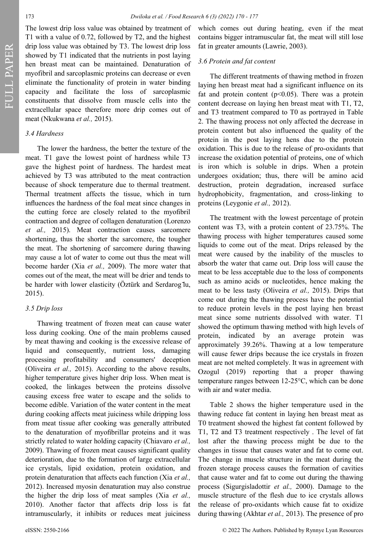FULL PAPER

The lowest drip loss value was obtained by treatment of T1 with a value of 0.72, followed by T2, and the highest drip loss value was obtained by T3. The lowest drip loss showed by T1 indicated that the nutrients in post laying hen breast meat can be maintained. Denaturation of myofibril and sarcoplasmic proteins can decrease or even eliminate the functionality of protein in water binding capacity and facilitate the loss of sarcoplasmic constituents that dissolve from muscle cells into the extracellular space therefore more drip comes out of meat (Nkukwana *et al.,* 2015).

#### *3.4 Hardness*

The lower the hardness, the better the texture of the meat. T1 gave the lowest point of hardness while T3 gave the highest point of hardness. The hardest meat achieved by T3 was attributed to the meat contraction because of shock temperature due to thermal treatment. Thermal treatment affects the tissue, which in turn influences the hardness of the foal meat since changes in the cutting force are closely related to the myofibril contraction and degree of collagen denaturation (Lorenzo *et al.,* 2015). Meat contraction causes sarcomere shortening, thus the shorter the sarcomere, the tougher the meat. The shortening of sarcomere during thawing may cause a lot of water to come out thus the meat will become harder (Xia *et al.,* 2009). The more water that comes out of the meat, the meat will be drier and tends to be harder with lower elasticity (Öztürk and Serdarog lu, 2015).

#### *3.5 Drip loss*

Thawing treatment of frozen meat can cause water loss during cooking. One of the main problems caused by meat thawing and cooking is the excessive release of liquid and consequently, nutrient loss, damaging processing profitability and consumers' deception (Oliveira *et al.,* 2015). According to the above results, higher temperature gives higher drip loss. When meat is cooked, the linkages between the proteins dissolve causing excess free water to escape and the solids to become edible. Variation of the water content in the meat during cooking affects meat juiciness while dripping loss from meat tissue after cooking was generally attributed to the denaturation of myofibrillar proteins and it was strictly related to water holding capacity (Chiavaro *et al.,* 2009). Thawing of frozen meat causes significant quality deterioration, due to the formation of large extracellular ice crystals, lipid oxidation, protein oxidation, and protein denaturation that affects each function (Xia *et al.,* 2012). Increased myosin denaturation may also construe the higher the drip loss of meat samples (Xia *et al.,*  2010). Another factor that affects drip loss is fat intramuscularly, it inhibits or reduces meat juiciness

which comes out during heating, even if the meat contains bigger intramuscular fat, the meat will still lose fat in greater amounts (Lawrie, 2003).

#### *3.6 Protein and fat content*

The different treatments of thawing method in frozen laying hen breast meat had a significant influence on its fat and protein content  $(p<0.05)$ . There was a protein content decrease on laying hen breast meat with T1, T2, and T3 treatment compared to T0 as portrayed in Table 2. The thawing process not only affected the decrease in protein content but also influenced the quality of the protein in the post laying hens due to the protein oxidation. This is due to the release of pro-oxidants that increase the oxidation potential of proteins, one of which is iron which is soluble in drips. When a protein undergoes oxidation; thus, there will be amino acid destruction, protein degradation, increased surface hydrophobicity, fragmentation, and cross-linking to proteins (Leygonie *et al.,* 2012).

The treatment with the lowest percentage of protein content was T3, with a protein content of 23.75%. The thawing process with higher temperatures caused some liquids to come out of the meat. Drips released by the meat were caused by the inability of the muscles to absorb the water that came out. Drip loss will cause the meat to be less acceptable due to the loss of components such as amino acids or nucleotides, hence making the meat to be less tasty (Oliveira *et al.,* 2015). Drips that come out during the thawing process have the potential to reduce protein levels in the post laying hen breast meat since some nutrients dissolved with water. T1 showed the optimum thawing method with high levels of protein, indicated by an average protein was approximately 39.26%. Thawing at a low temperature will cause fewer drips because the ice crystals in frozen meat are not melted completely. It was in agreement with Ozogul (2019) reporting that a proper thawing temperature ranges between 12-25°C, which can be done with air and water media.

Table 2 shows the higher temperature used in the thawing reduce fat content in laying hen breast meat as T0 treatment showed the highest fat content followed by T1, T2 and T3 treatment respectively . The level of fat lost after the thawing process might be due to the changes in tissue that causes water and fat to come out. The change in muscle structure in the meat during the frozen storage process causes the formation of cavities that cause water and fat to come out during the thawing process (Sigurgisladottir *et al.,* 2000). Damage to the muscle structure of the flesh due to ice crystals allows the release of pro-oxidants which cause fat to oxidize during thawing (Akhtar *et al.,* 2013). The presence of pro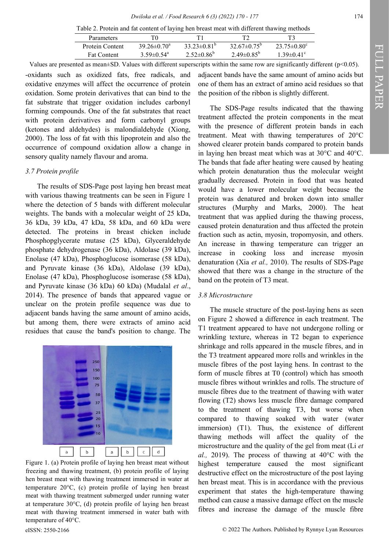Table 2. Protein and fat content of laying hen breast meat with different thawing methods

| <b>Parameters</b>  |                              |                         |                        |                          |
|--------------------|------------------------------|-------------------------|------------------------|--------------------------|
| Protein Content    | $39.26 \pm 0.70^{\circ}$     | $33.23\pm0.81^{\circ}$  | $32.67\pm0.75^{\circ}$ | $23.75 \pm 0.80^{\circ}$ |
| <b>Fat Content</b> | $3.59 \pm 0.54$ <sup>a</sup> | $2.52 \pm 0.86^{\circ}$ | $2.49\pm0.85^{\circ}$  | $1.39 \pm 0.41$ °        |

Values are presented as mean±SD. Values with different superscripts within the same row are significantly different (p<0.05).

-oxidants such as oxidized fats, free radicals, and oxidative enzymes will affect the occurrence of protein oxidation. Some protein derivatives that can bind to the fat substrate that trigger oxidation includes carbonyl forming compounds. One of the fat substrates that react with protein derivatives and form carbonyl groups (ketones and aldehydes) is malondialdehyde (Xiong, 2000). The loss of fat with this lipoprotein and also the occurrence of compound oxidation allow a change in sensory quality namely flavour and aroma.

### *3.7 Protein profile*

The results of SDS-Page post laying hen breast meat with various thawing treatments can be seen in Figure 1 where the detection of 5 bands with different molecular weights. The bands with a molecular weight of 25 kDa, 36 kDa, 39 kDa, 47 kDa, 58 kDa, and 60 kDa were detected. The proteins in breast chicken include Phosphopglycerate mutase (25 kDa), Glyceraldehyde phosphate dehydrogenase (36 kDa), Aldolase (39 kDa), Enolase (47 kDa), Phosphoglucose isomerase (58 kDa), and Pyruvate kinase (36 kDa), Aldolase (39 kDa), Enolase (47 kDa), Phosphoglucose isomerase (58 kDa), and Pyruvate kinase (36 kDa) 60 kDa) (Mudalal *et al*., 2014). The presence of bands that appeared vague or unclear on the protein profile sequence was due to adjacent bands having the same amount of amino acids, but among them, there were extracts of amino acid residues that cause the band's position to change. The



Figure 1. (a) Protein profile of laying hen breast meat without freezing and thawing treatment, (b) protein profile of laying hen breast meat with thawing treatment immersed in water at temperature 20°C, (c) protein profile of laying hen breast meat with thawing treatment submerged under running water at temperature 30°C, (d) protein profile of laying hen breast meat with thawing treatment immersed in water bath with temperature of 40°C.

adjacent bands have the same amount of amino acids but one of them has an extract of amino acid residues so that the position of the ribbon is slightly different.

The SDS-Page results indicated that the thawing treatment affected the protein components in the meat with the presence of different protein bands in each treatment. Meat with thawing temperatures of 20°C showed clearer protein bands compared to protein bands in laying hen breast meat which was at 30°C and 40°C. The bands that fade after heating were caused by heating which protein denaturation thus the molecular weight gradually decreased. Protein in food that was heated would have a lower molecular weight because the protein was denatured and broken down into smaller structures (Murphy and Marks, 2000). The heat treatment that was applied during the thawing process, caused protein denaturation and thus affected the protein fraction such as actin, myosin, tropomyosin, and others. An increase in thawing temperature can trigger an increase in cooking loss and increase myosin denaturation (Xia *et al.,* 2010). The results of SDS-Page showed that there was a change in the structure of the band on the protein of T3 meat.

#### *3.8 Microstructure*

The muscle structure of the post-laying hens as seen on Figure 2 showed a difference in each treatment. The T1 treatment appeared to have not undergone rolling or wrinkling texture, whereas in T2 began to experience shrinkage and rolls appeared in the muscle fibres, and in the T3 treatment appeared more rolls and wrinkles in the muscle fibres of the post laying hens. In contrast to the form of muscle fibres at T0 (control) which has smooth muscle fibres without wrinkles and rolls. The structure of muscle fibres due to the treatment of thawing with water flowing (T2) shows less muscle fibre damage compared to the treatment of thawing T3, but worse when compared to thawing soaked with water (water immersion) (T1). Thus, the existence of different thawing methods will affect the quality of the microstructure and the quality of the gel from meat (Li *et al.,* 2019). The process of thawing at 40°C with the highest temperature caused the most significant destructive effect on the microstructure of the post laying hen breast meat. This is in accordance with the previous experiment that states the high-temperature thawing method can cause a massive damage effect on the muscle fibres and increase the damage of the muscle fibre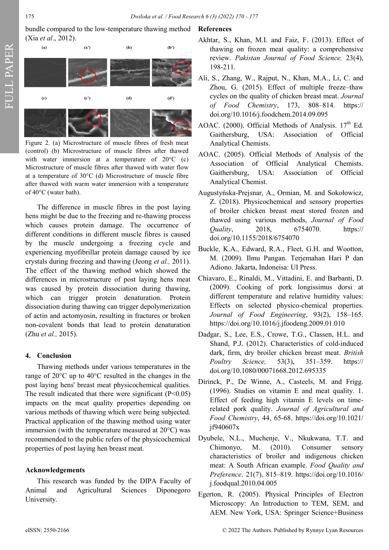bundle compared to the low-temperature thawing method (Xia *et al*., 2012).



Figure 2. (a) Microstructure of muscle fibres of fresh meat (control) (b) Microstructure of muscle fibres after thawed with water immersion at a temperature of 20°C (c) Microstructure of muscle fibres after thawed with water flow at a temperature of 30°C (d) Microstructure of muscle fibre after thawed with warm water immersion with a temperature of 40°C (water bath).

The difference in muscle fibres in the post laying hens might be due to the freezing and re-thawing process which causes protein damage. The occurrence of different conditions in different muscle fibres is caused by the muscle undergoing a freezing cycle and experiencing myofibrillar protein damage caused by ice crystals during freezing and thawing (Jeong *et al.,* 2011). The effect of the thawing method which showed the differences in microstructure of post laying hens meat was caused by protein dissociation during thawing, which can trigger protein denaturation. Protein dissociation during thawing can trigger depolymerization of actin and actomyosin, resulting in fractures or broken non-covalent bonds that lead to protein denaturation (Zhu *et al.,* 2015).

### **4. Conclusion**

Thawing methods under various temperatures in the range of 20°C up to 40°C resulted in the changes in the post laying hens' breast meat physicochemical qualities. The result indicated that there were significant  $(P<0.05)$ impacts on the meat quality properties depending on various methods of thawing which were being subjected. Practical application of the thawing method using water immersion (with the temperature measured at 20°C) was recommended to the public refers of the physicochemical properties of post laying hen breast meat.

### **Acknowledgements**

This research was funded by the DIPA Faculty of Animal and Agricultural Sciences Diponegoro University.

### **References**

- Akhtar, S., Khan, M.I. and Faiz, F. (2013). Effect of thawing on frozen meat quality: a comprehensive review. *Pakistan Journal of Food Science,* 23(4), 198-211.
- Ali, S., Zhang, W., Rajput, N., Khan, M.A., Li, C. and Zhou, G. (2015). Effect of multiple freeze–thaw cycles on the quality of chicken breast meat. *Journal of Food Chemistry*, 173, 808–814. [https://](https://doi.org/10.1016/j.foodchem.2014.09.095) [doi.org/10.1016/j.foodchem.2014.09.095](https://doi.org/10.1016/j.foodchem.2014.09.095)
- AOAC. (2000). Official Methods of Analysis.  $17<sup>th</sup>$  Ed. Gaithersburg, USA: Association of Official Analytical Chemists.
- AOAC. (2005). Official Methods of Analysis of the Association of Official Analytical Chemists. Gaithersburg, USA: Association of Official Analytical Chemist.
- Augustyńska-Prejsnar, A., Ormian, M. and Sokołowicz, Z. (2018). Physicochemical and sensory properties of broiler chicken breast meat stored frozen and thawed using various methods, *Journal of Food Quality*, 2018, 6754070. https:// doi.org/10.1155/2018/6754070
- Buckle, K.A., Edward, R.A., Fleet, G.H. and Wootton, M. (2009). Ilmu Pangan. Terjemahan Hari P dan Adiono. Jakarta, Indoneisa: UI Press.
- Chiavaro, E., Rinaldi, M., Vittadini, E. and Barbanti, D. (2009). Cooking of pork longissimus dorsi at different temperature and relative humidity values: Effects on selected physico-chemical properties. *Journal of Food Engineering*, 93(2), 158–165. https://doi.org/10.1016/j.jfoodeng.2009.01.010
- Dadgar, S., Lee, E.S., Crowe, T.G., Classen, H.L. and Shand, P.J. (2012). Characteristics of cold-induced dark, firm, dry broiler chicken breast meat. *British Poultry Science,* 53(3), 351–359. https:// doi.org/10.1080/00071668.2012.695335
- Dirinck, P., De Winne, A., Casteels, M. and Frigg. (1996). Studies on vitamin E and meat quality. 1. Effect of feeding high vitamin E levels on timerelated pork quality. *Journal of Agricultural and Food Chemistry*, 44, 65-68. https://doi.org/10.1021/ jf940607x
- Dyubele, N.L., Muchenje, V., Nkukwana, T.T. and Chimonyo, M. (2010). Consumer sensory characteristics of broiler and indigenous chicken meat: A South African example. *Food Quality and Preference*. 21(7), 815–819. https://doi.org/10.1016/ j.foodqual.2010.04.005
- Egerton, R. (2005). Physical Principles of Electron Microscopy: An Introduction to TEM, SEM, and AEM. New York, USA: Springer Science+Business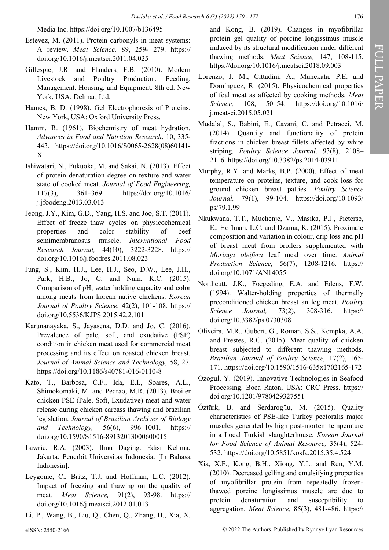Media Inc. https://doi.org/10.1007/b136495

- Estevez, M. (2011). Protein carbonyls in meat systems: A review. *Meat Science,* 89, 259- 279. https:// doi.org/10.1016/j.meatsci.2011.04.025
- Gillespie, J.R. and Flanders, F.B. (2010). Modern Livestock and Poultry Production: Feeding, Management, Housing, and Equipment*.* 8th ed. New York, USA: Delmar, Ltd.
- Hames, B. D. (1998). Gel Electrophoresis of Proteins. New York, USA: Oxford University Press.
- Hamm, R. (1961). Biochemistry of meat hydration. *Advances in Food and Nutrition Research*, 10, 335- 443. [https://doi.org/10.1016/S0065](https://doi.org/10.1016/S0065-2628(08)60141-X)-2628(08)60141- [X](https://doi.org/10.1016/S0065-2628(08)60141-X)
- Ishiwatari, N., Fukuoka, M. and Sakai, N. (2013). Effect of protein denaturation degree on texture and water state of cooked meat. *Journal of Food Engineering,* 117(3), 361–369. https://doi.org/10.1016/ j.jfoodeng.2013.03.013
- Jeong, J.Y., Kim, G.D., Yang, H.S. and Joo, S.T. (2011). Effect of freeze–thaw cycles on physicochemical properties and color stability of beef semimembranosus muscle. *International Food Research Journal,* 44(10), 3222-3228. https:// doi.org/10.1016/j.foodres.2011.08.023
- Jung, S., Kim, H.J., Lee, H.J., Seo, D.W., Lee, J.H., Park, H.B., Jo, C. and Nam, K.C. (2015). Comparison of pH, water holding capacity and color among meats from korean native chickens. *Korean Journal of Poultry Science*, 42(2), 101-108. https:// doi.org/10.5536/KJPS.2015.42.2.101
- Karunanayaka, S., Jayasena, D.D. and Jo, C. (2016). Prevalence of pale, soft, and exudative (PSE) condition in chicken meat used for commercial meat processing and its effect on roasted chicken breast. *Journal of Animal Science and Technology,* 58, 27. https://doi.org/10.1186/s40781-016-0110-8
- Kato, T., Barbosa, C.F., Ida, E.I., Soares, A.L., Shimokomaki, M. and Pedrao, M.R. (2013). Broiler chicken PSE (Pale, Soft, Exudative) meat and water release during chicken carcass thawing and brazilian legislation. *Journal of Brazilian Archives of Biology and Technology,* 56(6), 996–1001. https:// doi.org/10.1590/S1516-89132013000600015
- Lawrie, R.A. (2003). Ilmu Daging. Edisi Kelima. Jakarta: Penerbit Universitas Indonesia. [In Bahasa Indonesia].
- Leygonie, C., Britz, T.J. and Hoffman, L.C. (2012). Impact of freezing and thawing on the quality of meat. *Meat Science,* 91(2), 93-98. https:// doi.org/10.1016/j.meatsci.2012.01.013
- Li, P., Wang, B., Liu, Q., Chen, Q., Zhang, H., Xia, X.

and Kong, B. (2019). Changes in myofibrillar protein gel quality of porcine longissimus muscle induced by its structural modification under different thawing methods. *Meat Science,* 147, 108-115. https://doi.org/10.1016/j.meatsci.2018.09.003

- Lorenzo, J. M., Cittadini, A., Munekata, P.E. and Domínguez, R. (2015). Physicochemical properties of foal meat as affected by cooking methods. *Meat Science,* 108, 50–54. https://doi.org/10.1016/ j.meatsci.2015.05.021
- Mudalal, S., Babini, E., Cavani, C. and Petracci, M. (2014). Quantity and functionality of protein fractions in chicken breast fillets affected by white striping. *Poultry Science Journal,* 93(8), 2108– 2116. https://doi.org/10.3382/ps.2014-03911
- Murphy, R.Y. and Marks, B.P. (2000). Effect of meat temperature on proteins, texture, and cook loss for ground chicken breast patties. *Poultry Science Journal,* 79(1), 99-104. https://doi.org/10.1093/ ps/79.1.99
- Nkukwana, T.T., Muchenje, V., Masika, P.J., Pieterse, E., Hoffman, L.C. and Dzama, K. (2015). Proximate composition and variation in colour, drip loss and pH of breast meat from broilers supplemented with *Moringa oleifera* leaf meal over time. *Animal Production Science,* 56(7), 1208-1216. https:// doi.org/10.1071/AN14055
- Northcutt, J.K., Foegeding, E.A. and Edens, F.W. (1994). Walter-holding properties of thermally preconditioned chicken breast an leg meat. *Poultry Science Journal,* 73(2), 308-316. https:// doi.org/10.3382/ps.0730308
- Oliveira, M.R., Gubert, G., Roman, S.S., Kempka, A.A. and Prestes, R.C. (2015). Meat quality of chicken breast subjected to different thawing methods. *Brazilian Journal of Poultry Science,* 17(2), 165- 171. https://doi.org/10.1590/1516-635x1702165-172
- Ozogul, Y. (2019). Innovative Technologies in Seafood Processing. Boca Raton, USA: CRC Press. https:// doi.org/10.1201/9780429327551
- Öztürk, B. and Serdarog lu, M. (2015). Quality characteristics of PSE-like Turkey pectoralis major muscles generated by high post-mortem temperature in a Local Turkish slaughterhouse*. Korean Journal for Food Science of Animal Resource,* 35(4), 524- 532. https://doi.org/10.5851/kosfa.2015.35.4.524
- Xia, X.F., Kong, B.H., Xiong, Y.L. and Ren, Y.M. (2010). Decreased gelling and emulsifying properties of myofibrillar protein from repeatedly frozenthawed porcine longissimus muscle are due to protein denaturation and susceptibility to aggregation. *Meat Science,* 85(3), 481-486. https://